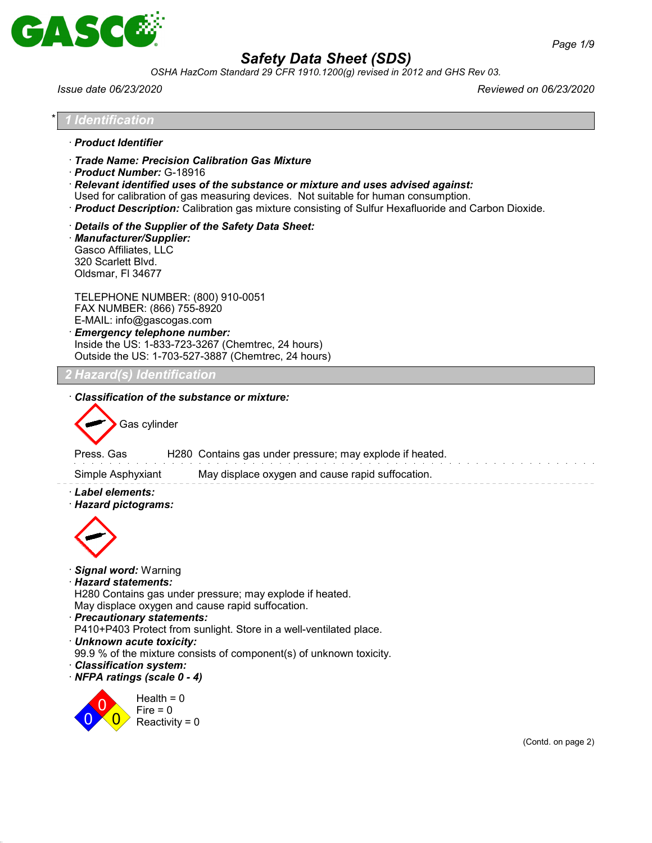

*OSHA HazCom Standard 29 CFR 1910.1200(g) revised in 2012 and GHS Rev 03.*

*Issue date 06/23/2020 Reviewed on 06/23/2020*

| l Identification                                                                             |                                                                                                                                                                                                                                                                                                                                                       |                                                                                                              |                                                                                                      |                    |
|----------------------------------------------------------------------------------------------|-------------------------------------------------------------------------------------------------------------------------------------------------------------------------------------------------------------------------------------------------------------------------------------------------------------------------------------------------------|--------------------------------------------------------------------------------------------------------------|------------------------------------------------------------------------------------------------------|--------------------|
| · Product Identifier                                                                         |                                                                                                                                                                                                                                                                                                                                                       |                                                                                                              |                                                                                                      |                    |
|                                                                                              | Trade Name: Precision Calibration Gas Mixture<br>Product Number: G-18916<br>· Relevant identified uses of the substance or mixture and uses advised against:<br>Used for calibration of gas measuring devices. Not suitable for human consumption.                                                                                                    |                                                                                                              | · Product Description: Calibration gas mixture consisting of Sulfur Hexafluoride and Carbon Dioxide. |                    |
| · Manufacturer/Supplier:<br>Gasco Affiliates, LLC<br>320 Scarlett Blvd.<br>Oldsmar, FI 34677 | Details of the Supplier of the Safety Data Sheet:                                                                                                                                                                                                                                                                                                     |                                                                                                              |                                                                                                      |                    |
|                                                                                              | TELEPHONE NUMBER: (800) 910-0051<br>FAX NUMBER: (866) 755-8920<br>E-MAIL: info@gascogas.com<br>· Emergency telephone number:<br>Inside the US: 1-833-723-3267 (Chemtrec, 24 hours)<br>Outside the US: 1-703-527-3887 (Chemtrec, 24 hours)                                                                                                             |                                                                                                              |                                                                                                      |                    |
|                                                                                              |                                                                                                                                                                                                                                                                                                                                                       |                                                                                                              |                                                                                                      |                    |
| Press, Gas<br>Simple Asphyxiant<br>· Label elements:<br>· Hazard pictograms:                 |                                                                                                                                                                                                                                                                                                                                                       | H280 Contains gas under pressure; may explode if heated.<br>May displace oxygen and cause rapid suffocation. |                                                                                                      |                    |
| · Signal word: Warning<br>· Hazard statements:<br>Classification system:                     | H280 Contains gas under pressure; may explode if heated.<br>May displace oxygen and cause rapid suffocation.<br>· Precautionary statements:<br>P410+P403 Protect from sunlight. Store in a well-ventilated place.<br>· Unknown acute toxicity:<br>99.9 % of the mixture consists of component(s) of unknown toxicity.<br>· NFPA ratings (scale 0 - 4) |                                                                                                              |                                                                                                      |                    |
|                                                                                              | Health = $0$<br>Fire $= 0$<br>Reactivity = $0$                                                                                                                                                                                                                                                                                                        |                                                                                                              |                                                                                                      | (Contd. on page 2) |
|                                                                                              |                                                                                                                                                                                                                                                                                                                                                       |                                                                                                              |                                                                                                      |                    |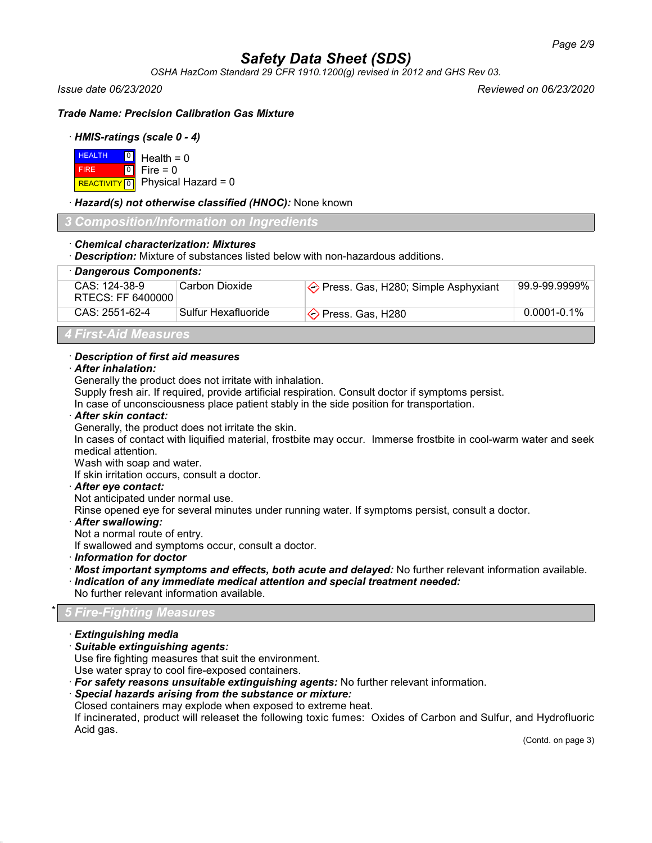*OSHA HazCom Standard 29 CFR 1910.1200(g) revised in 2012 and GHS Rev 03.*

*Issue date 06/23/2020 Reviewed on 06/23/2020*

*Trade Name: Precision Calibration Gas Mixture*

## · *HMIS-ratings (scale 0 - 4)*

| $H = 0$ Health = 0 |                                      |
|--------------------|--------------------------------------|
| <b>FIRE</b>        | $\textcolor{blue}{\bullet}$ Fire = 0 |
|                    | REACTIVITY 0 Physical Hazard = 0     |

## · *Hazard(s) not otherwise classified (HNOC):* None known

*3 Composition/Information on Ingredients*

## · *Chemical characterization: Mixtures*

· *Description:* Mixture of substances listed below with non-hazardous additions.

| · Dangerous Components:            |                     |                                                |                  |
|------------------------------------|---------------------|------------------------------------------------|------------------|
| CAS: 124-38-9<br>RTECS: FF 6400000 | ∣Carbon Dioxide∶    | $\Diamond$ Press. Gas, H280; Simple Asphyxiant | 99.9-99.9999%    |
| CAS: 2551-62-4                     | Sulfur Hexafluoride | $\Diamond$ Press. Gas, H280                    | $0.0001 - 0.1\%$ |
|                                    |                     |                                                |                  |

*4 First-Aid Measures*

## · *Description of first aid measures*

## · *After inhalation:*

Generally the product does not irritate with inhalation.

Supply fresh air. If required, provide artificial respiration. Consult doctor if symptoms persist.

In case of unconsciousness place patient stably in the side position for transportation.

### · *After skin contact:*

Generally, the product does not irritate the skin.

In cases of contact with liquified material, frostbite may occur. Immerse frostbite in cool-warm water and seek medical attention.

Wash with soap and water.

If skin irritation occurs, consult a doctor.

## · *After eye contact:*

Not anticipated under normal use.

Rinse opened eye for several minutes under running water. If symptoms persist, consult a doctor.

## · *After swallowing:*

Not a normal route of entry.

If swallowed and symptoms occur, consult a doctor.

· *Information for doctor*

- · *Most important symptoms and effects, both acute and delayed:* No further relevant information available.
- · *Indication of any immediate medical attention and special treatment needed:*
- No further relevant information available.

## \* *5 Fire-Fighting Measures*

- · *Extinguishing media*
- · *Suitable extinguishing agents:*

Use fire fighting measures that suit the environment.

Use water spray to cool fire-exposed containers.

· *For safety reasons unsuitable extinguishing agents:* No further relevant information.

## · *Special hazards arising from the substance or mixture:*

Closed containers may explode when exposed to extreme heat.

If incinerated, product will releaset the following toxic fumes: Oxides of Carbon and Sulfur, and Hydrofluoric Acid gas.

(Contd. on page 3)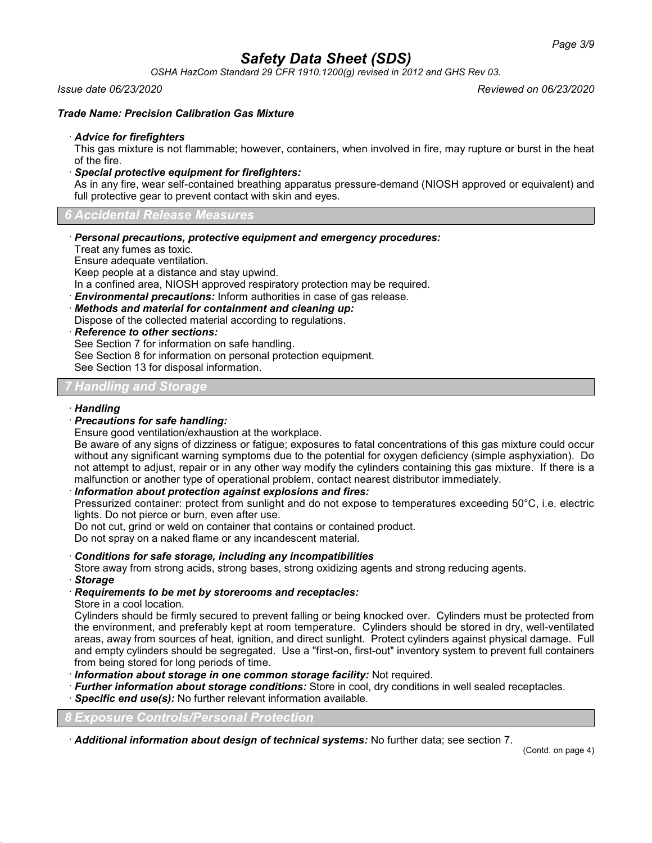*OSHA HazCom Standard 29 CFR 1910.1200(g) revised in 2012 and GHS Rev 03.*

#### *Issue date 06/23/2020 Reviewed on 06/23/2020*

### *Trade Name: Precision Calibration Gas Mixture*

#### · *Advice for firefighters*

This gas mixture is not flammable; however, containers, when involved in fire, may rupture or burst in the heat of the fire.

· *Special protective equipment for firefighters:*

As in any fire, wear self-contained breathing apparatus pressure-demand (NIOSH approved or equivalent) and full protective gear to prevent contact with skin and eyes.

*6 Accidental Release Measures*

· *Personal precautions, protective equipment and emergency procedures:*

Treat any fumes as toxic.

Ensure adequate ventilation.

Keep people at a distance and stay upwind.

In a confined area, NIOSH approved respiratory protection may be required.

· *Environmental precautions:* Inform authorities in case of gas release.

· *Methods and material for containment and cleaning up:*

Dispose of the collected material according to regulations.

· *Reference to other sections:*

See Section 7 for information on safe handling.

See Section 8 for information on personal protection equipment.

See Section 13 for disposal information.

## *7 Handling and Storage*

### · *Handling*

### · *Precautions for safe handling:*

Ensure good ventilation/exhaustion at the workplace.

Be aware of any signs of dizziness or fatigue; exposures to fatal concentrations of this gas mixture could occur without any significant warning symptoms due to the potential for oxygen deficiency (simple asphyxiation). Do not attempt to adjust, repair or in any other way modify the cylinders containing this gas mixture. If there is a malfunction or another type of operational problem, contact nearest distributor immediately.

## · *Information about protection against explosions and fires:*

Pressurized container: protect from sunlight and do not expose to temperatures exceeding 50°C, i.e. electric lights. Do not pierce or burn, even after use.

Do not cut, grind or weld on container that contains or contained product.

Do not spray on a naked flame or any incandescent material.

· *Conditions for safe storage, including any incompatibilities*

Store away from strong acids, strong bases, strong oxidizing agents and strong reducing agents.

· *Storage*

## · *Requirements to be met by storerooms and receptacles:*

Store in a cool location.

Cylinders should be firmly secured to prevent falling or being knocked over. Cylinders must be protected from the environment, and preferably kept at room temperature. Cylinders should be stored in dry, well-ventilated areas, away from sources of heat, ignition, and direct sunlight. Protect cylinders against physical damage. Full and empty cylinders should be segregated. Use a "first-on, first-out" inventory system to prevent full containers from being stored for long periods of time.

· *Information about storage in one common storage facility:* Not required.

· *Further information about storage conditions:* Store in cool, dry conditions in well sealed receptacles.

· *Specific end use(s):* No further relevant information available.

*8 Exposure Controls/Personal Protection*

· *Additional information about design of technical systems:* No further data; see section 7.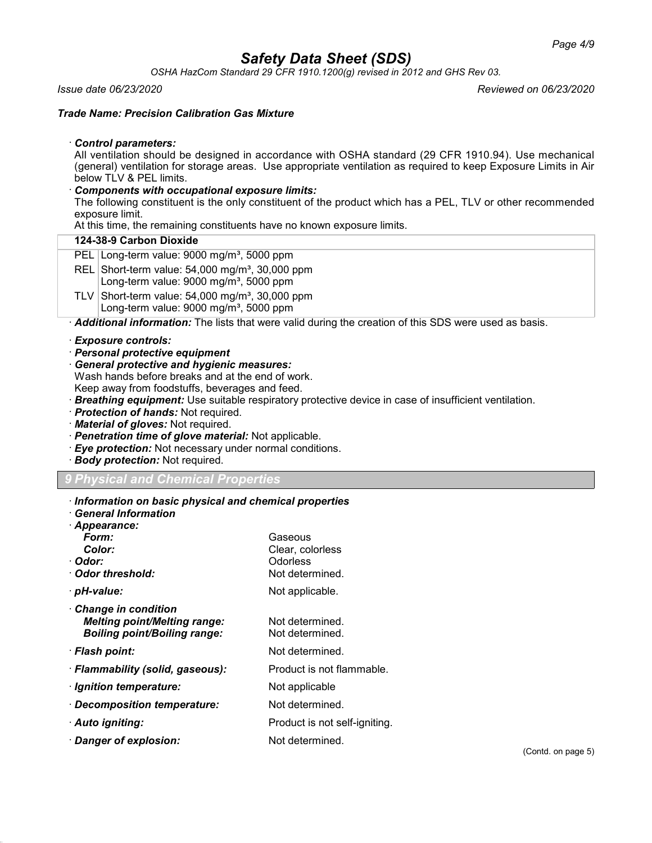*OSHA HazCom Standard 29 CFR 1910.1200(g) revised in 2012 and GHS Rev 03.*

### *Issue date 06/23/2020 Reviewed on 06/23/2020*

## *Trade Name: Precision Calibration Gas Mixture*

## · *Control parameters:*

All ventilation should be designed in accordance with OSHA standard (29 CFR 1910.94). Use mechanical (general) ventilation for storage areas. Use appropriate ventilation as required to keep Exposure Limits in Air below TLV & PEL limits.

## · *Components with occupational exposure limits:*

The following constituent is the only constituent of the product which has a PEL, TLV or other recommended exposure limit.

At this time, the remaining constituents have no known exposure limits.

## **124-38-9 Carbon Dioxide**

- PEL Long-term value: 9000 mg/m<sup>3</sup>, 5000 ppm
- REL Short-term value:  $54,000$  mg/m<sup>3</sup>, 30,000 ppm Long-term value:  $9000$  mg/m<sup>3</sup>, 5000 ppm
- TLV Short-term value:  $54,000$  mg/m<sup>3</sup>, 30,000 ppm Long-term value:  $9000 \text{ mg/m}^3$ , 5000 ppm

· *Additional information:* The lists that were valid during the creation of this SDS were used as basis.

## · *Exposure controls:*

- · *Personal protective equipment*
- · *General protective and hygienic measures:*
- Wash hands before breaks and at the end of work.
- Keep away from foodstuffs, beverages and feed.
- · *Breathing equipment:* Use suitable respiratory protective device in case of insufficient ventilation.
- · *Protection of hands:* Not required.
- · *Material of gloves:* Not required.
- · *Penetration time of glove material:* Not applicable.
- · *Eye protection:* Not necessary under normal conditions.
- · *Body protection:* Not required.

## *9 Physical and Chemical Properties*

- · *Information on basic physical and chemical properties*
- · *General Information*
- · *Appearance: Form:* Gaseous **Color:** Clear, colorless<br>
Clear, colorless<br>
Colorless · *Odor:* Odorless · **Odor threshold:** Not determined. · *pH-value:* Not applicable. · *Change in condition Melting point/Melting range:* Not determined. **Boiling point/Boiling range:** Not determined. · **Flash point:** Not determined. · **Flammability (solid, gaseous):** Product is not flammable. · *Ignition temperature:* Not applicable · *Decomposition temperature:* Not determined. · **Auto igniting:** Product is not self-igniting. · *Danger of explosion:* Not determined.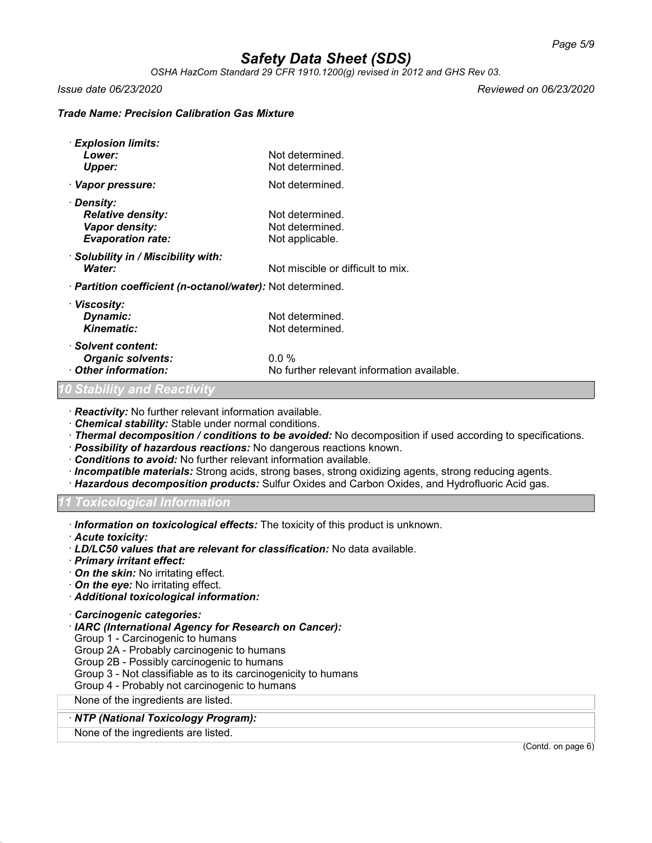*OSHA HazCom Standard 29 CFR 1910.1200(g) revised in 2012 and GHS Rev 03.*

*Issue date 06/23/2020 Reviewed on 06/23/2020*

### *Trade Name: Precision Calibration Gas Mixture*

| · Explosion limits:                                        |                                            |
|------------------------------------------------------------|--------------------------------------------|
| Lower:                                                     | Not determined.                            |
| <b>Upper:</b>                                              | Not determined.                            |
| · Vapor pressure:                                          | Not determined.                            |
| · Density:                                                 |                                            |
| <b>Relative density:</b>                                   | Not determined.                            |
| Vapor density:                                             | Not determined.                            |
| <b>Evaporation rate:</b>                                   | Not applicable.                            |
| · Solubility in / Miscibility with:                        |                                            |
| Water:                                                     | Not miscible or difficult to mix.          |
| · Partition coefficient (n-octanol/water): Not determined. |                                            |
| · Viscosity:                                               |                                            |
| Dynamic:                                                   | Not determined.                            |
| <b>Kinematic:</b>                                          | Not determined.                            |
| · Solvent content:                                         |                                            |
| <b>Organic solvents:</b>                                   | $0.0\%$                                    |
| Other information:                                         | No further relevant information available. |
| <b>10 Stability and Reactivity</b>                         |                                            |

· *Reactivity:* No further relevant information available.

· *Chemical stability:* Stable under normal conditions.

- · *Thermal decomposition / conditions to be avoided:* No decomposition if used according to specifications.
- · *Possibility of hazardous reactions:* No dangerous reactions known.
- · *Conditions to avoid:* No further relevant information available.
- · *Incompatible materials:* Strong acids, strong bases, strong oxidizing agents, strong reducing agents.
- · *Hazardous decomposition products:* Sulfur Oxides and Carbon Oxides, and Hydrofluoric Acid gas.

*11 Toxicological Information*

· *Information on toxicological effects:* The toxicity of this product is unknown.

· *Acute toxicity:*

- · *LD/LC50 values that are relevant for classification:* No data available.
- · *Primary irritant effect:*
- · *On the skin:* No irritating effect.
- · *On the eye:* No irritating effect.

· *Additional toxicological information:*

- · *Carcinogenic categories:*
- · *IARC (International Agency for Research on Cancer):*
- Group 1 Carcinogenic to humans
- Group 2A Probably carcinogenic to humans
- Group 2B Possibly carcinogenic to humans
- Group 3 Not classifiable as to its carcinogenicity to humans

Group 4 - Probably not carcinogenic to humans

None of the ingredients are listed.

#### · *NTP (National Toxicology Program):*

None of the ingredients are listed.

(Contd. on page 6)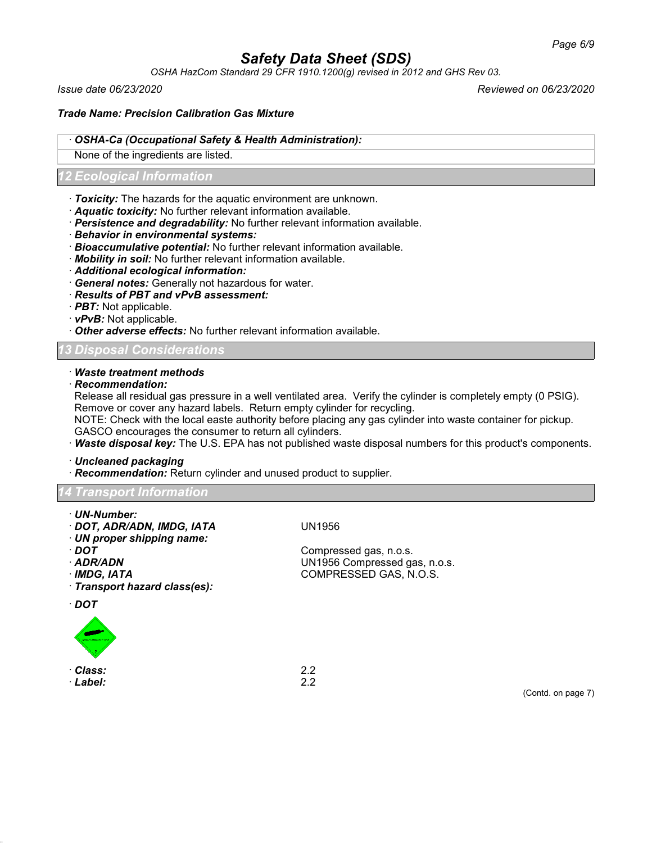*OSHA HazCom Standard 29 CFR 1910.1200(g) revised in 2012 and GHS Rev 03.*

*Issue date 06/23/2020 Reviewed on 06/23/2020*

## *Trade Name: Precision Calibration Gas Mixture*

### · *OSHA-Ca (Occupational Safety & Health Administration):*

None of the ingredients are listed.

## *12 Ecological Information*

- · *Toxicity:* The hazards for the aquatic environment are unknown.
- · *Aquatic toxicity:* No further relevant information available.
- · *Persistence and degradability:* No further relevant information available.
- · *Behavior in environmental systems:*
- · *Bioaccumulative potential:* No further relevant information available.
- · *Mobility in soil:* No further relevant information available.
- · *Additional ecological information:*
- · *General notes:* Generally not hazardous for water.
- · *Results of PBT and vPvB assessment:*
- · *PBT:* Not applicable.
- · *vPvB:* Not applicable.
- · *Other adverse effects:* No further relevant information available.

## *13 Disposal Considerations*

### · *Waste treatment methods*

· *Recommendation:*

Release all residual gas pressure in a well ventilated area. Verify the cylinder is completely empty (0 PSIG). Remove or cover any hazard labels. Return empty cylinder for recycling.

NOTE: Check with the local easte authority before placing any gas cylinder into waste container for pickup. GASCO encourages the consumer to return all cylinders.

· *Waste disposal key:* The U.S. EPA has not published waste disposal numbers for this product's components.

· *Uncleaned packaging*

· *Recommendation:* Return cylinder and unused product to supplier.

## *14 Transport Information*

- · *UN-Number:*
- · *DOT, ADR/ADN, IMDG, IATA* UN1956
- · *UN proper shipping name:*
- 
- 
- 
- · *Transport hazard class(es):*

· *DOT*



· *Class:* 2.2 · *Label:* 2.2

· *DOT* Compressed gas, n.o.s. · *ADR/ADN* UN1956 Compressed gas, n.o.s. · *IMDG, IATA* COMPRESSED GAS, N.O.S.

(Contd. on page 7)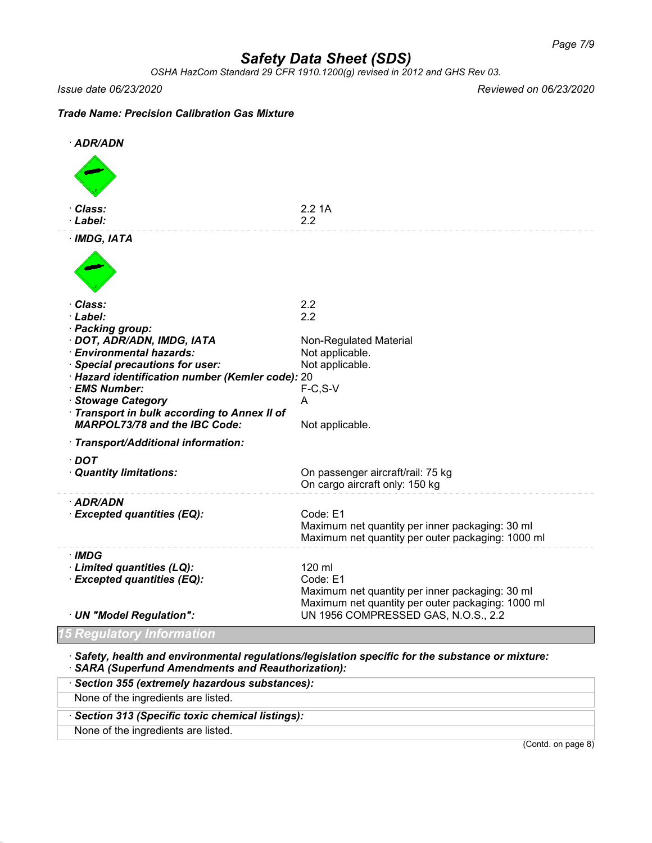*OSHA HazCom Standard 29 CFR 1910.1200(g) revised in 2012 and GHS Rev 03.*

*Issue date 06/23/2020 Reviewed on 06/23/2020*

## *Trade Name: Precision Calibration Gas Mixture*

| · ADR/ADN                                                        |                                                                                          |
|------------------------------------------------------------------|------------------------------------------------------------------------------------------|
|                                                                  |                                                                                          |
| Class:<br>· Label:                                               | 2.21A<br>2.2                                                                             |
| $·$ IMDG, IATA                                                   |                                                                                          |
|                                                                  |                                                                                          |
| · Class:<br>· Label:                                             | 2.2<br>2.2                                                                               |
| · Packing group:                                                 |                                                                                          |
| · DOT, ADR/ADN, IMDG, IATA                                       | Non-Regulated Material                                                                   |
| · Environmental hazards:<br>· Special precautions for user:      | Not applicable.<br>Not applicable.                                                       |
| · Hazard identification number (Kemler code): 20                 |                                                                                          |
| · EMS Number:                                                    | $F-C, S-V$                                                                               |
| · Stowage Category<br>Transport in bulk according to Annex II of | A                                                                                        |
| <b>MARPOL73/78 and the IBC Code:</b>                             | Not applicable.                                                                          |
| · Transport/Additional information:                              |                                                                                          |
| $\cdot$ DOT<br>· Quantity limitations:                           | On passenger aircraft/rail: 75 kg<br>On cargo aircraft only: 150 kg                      |
| · ADR/ADN                                                        |                                                                                          |
| · Excepted quantities (EQ):                                      | Code: E1<br>Maximum net quantity per inner packaging: 30 ml                              |
|                                                                  | Maximum net quantity per outer packaging: 1000 ml                                        |
| · IMDG                                                           |                                                                                          |
| · Limited quantities (LQ):<br>· Excepted quantities (EQ):        | 120 ml<br>Code: E1                                                                       |
|                                                                  | Maximum net quantity per inner packaging: 30 ml                                          |
| · UN "Model Regulation":                                         | Maximum net quantity per outer packaging: 1000 ml<br>UN 1956 COMPRESSED GAS, N.O.S., 2.2 |
|                                                                  |                                                                                          |
| <b>15 Regulatory Information</b>                                 |                                                                                          |

· *Safety, health and environmental regulations/legislation specific for the substance or mixture:* · *SARA (Superfund Amendments and Reauthorization):*

| Section 355 (extremely hazardous substances):   |                    |
|-------------------------------------------------|--------------------|
| None of the ingredients are listed.             |                    |
| Section 313 (Specific toxic chemical listings): |                    |
| None of the ingredients are listed.             |                    |
|                                                 | (Contd. on page 8) |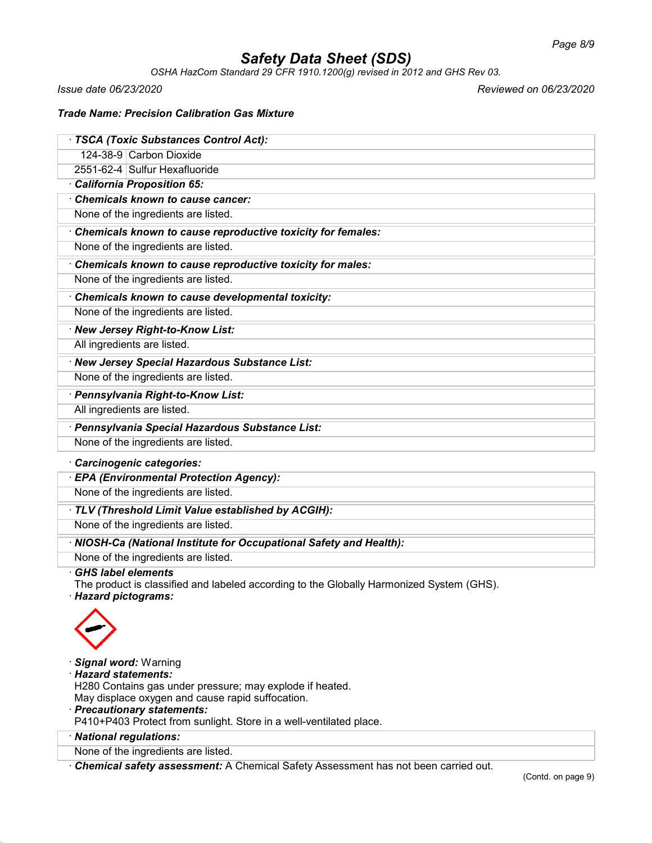*OSHA HazCom Standard 29 CFR 1910.1200(g) revised in 2012 and GHS Rev 03.*

*Issue date 06/23/2020 Reviewed on 06/23/2020*

## *Trade Name: Precision Calibration Gas Mixture*

| · TSCA (Toxic Substances Control Act):                                                                                |
|-----------------------------------------------------------------------------------------------------------------------|
| 124-38-9 Carbon Dioxide                                                                                               |
| 2551-62-4 Sulfur Hexafluoride                                                                                         |
| California Proposition 65:                                                                                            |
| Chemicals known to cause cancer:                                                                                      |
| None of the ingredients are listed.                                                                                   |
| Chemicals known to cause reproductive toxicity for females:                                                           |
| None of the ingredients are listed.                                                                                   |
| Chemicals known to cause reproductive toxicity for males:                                                             |
| None of the ingredients are listed.                                                                                   |
| Chemicals known to cause developmental toxicity:                                                                      |
| None of the ingredients are listed.                                                                                   |
| · New Jersey Right-to-Know List:                                                                                      |
| All ingredients are listed.                                                                                           |
| · New Jersey Special Hazardous Substance List:                                                                        |
| None of the ingredients are listed.                                                                                   |
| · Pennsylvania Right-to-Know List:                                                                                    |
| All ingredients are listed.                                                                                           |
| · Pennsylvania Special Hazardous Substance List:                                                                      |
| None of the ingredients are listed.                                                                                   |
| · Carcinogenic categories:                                                                                            |
| · EPA (Environmental Protection Agency):                                                                              |
| None of the ingredients are listed.                                                                                   |
| · TLV (Threshold Limit Value established by ACGIH):                                                                   |
| None of the ingredients are listed.                                                                                   |
| · NIOSH-Ca (National Institute for Occupational Safety and Health):                                                   |
| None of the ingredients are listed.                                                                                   |
| <b>GHS</b> label elements<br>The product is classified and labeled according to the Globally Harmonized System (GHS). |
| · Hazard pictograms:                                                                                                  |
|                                                                                                                       |
|                                                                                                                       |
|                                                                                                                       |
| · Signal word: Warning                                                                                                |
| · Hazard statements:                                                                                                  |
| H280 Contains gas under pressure; may explode if heated.                                                              |
| May displace oxygen and cause rapid suffocation.<br>· Precautionary statements:                                       |
| P410+P403 Protect from sunlight. Store in a well-ventilated place.                                                    |
| · National regulations:                                                                                               |
| None of the ingredients are listed.                                                                                   |
|                                                                                                                       |

· *Chemical safety assessment:* A Chemical Safety Assessment has not been carried out.